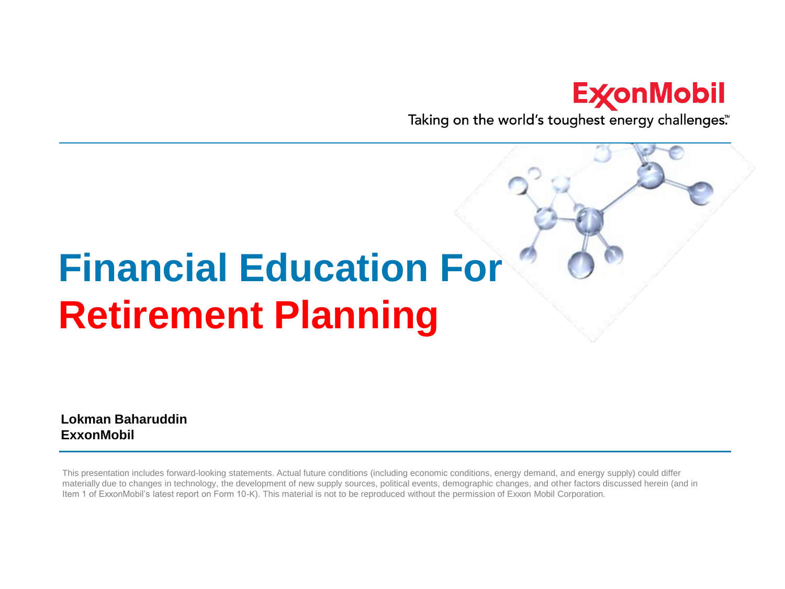#### **ExconMobil**

Taking on the world's toughest energy challenges."

# **Financial Education For Retirement Planning**

**Lokman Baharuddin ExxonMobil**

This presentation includes forward-looking statements. Actual future conditions (including economic conditions, energy demand, and energy supply) could differ materially due to changes in technology, the development of new supply sources, political events, demographic changes, and other factors discussed herein (and in Item 1 of ExxonMobil's latest report on Form 10-K). This material is not to be reproduced without the permission of Exxon Mobil Corporation.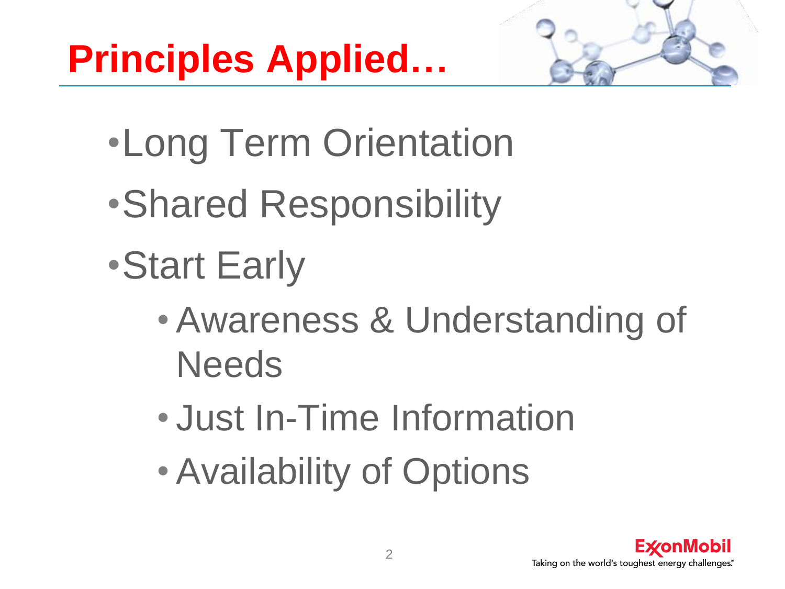

- •Long Term Orientation
- •Shared Responsibility
- •Start Early
	- Awareness & Understanding of **Needs**
	- Just In-Time Information
	- Availability of Options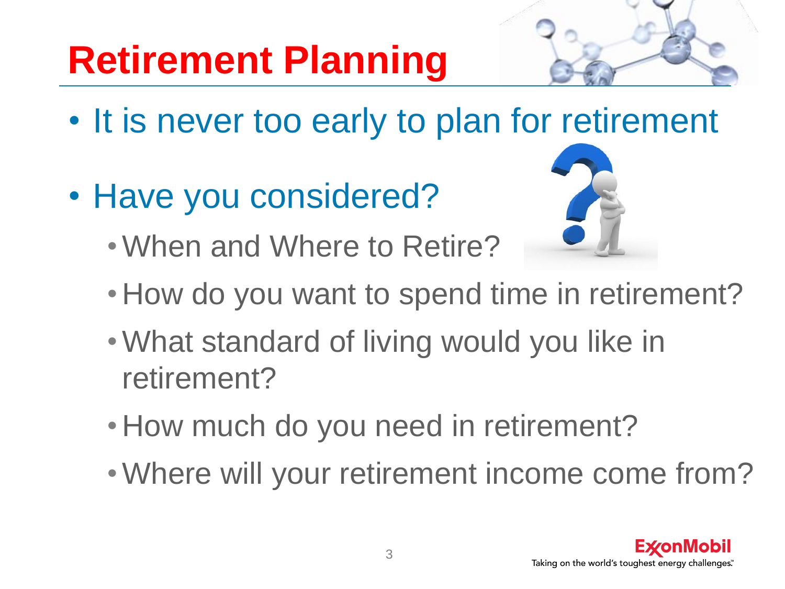# **Retirement Planning**

- It is never too early to plan for retirement
- Have you considered?



- •When and Where to Retire?
- •How do you want to spend time in retirement?
- •What standard of living would you like in retirement?
- •How much do you need in retirement?
- •Where will your retirement income come from?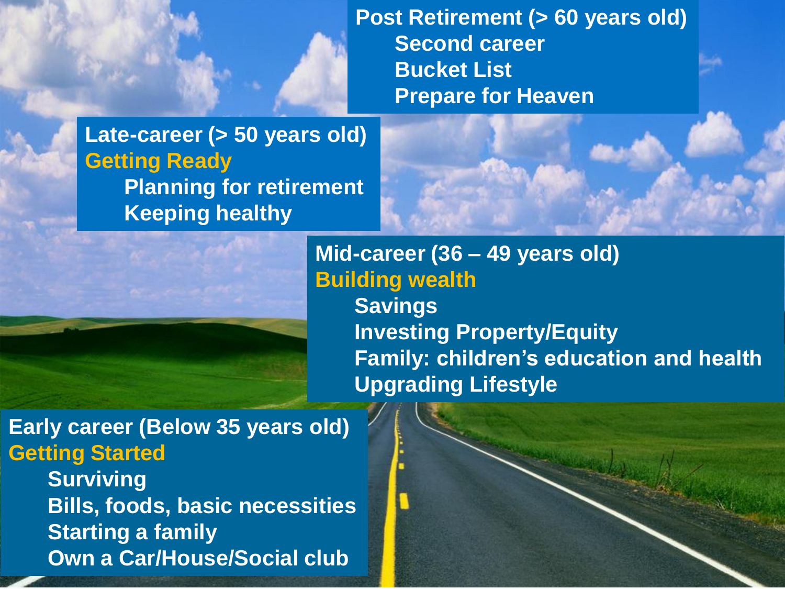**Post Retirement (> 60 years old) Second career Bucket List Prepare for Heaven**

**Late-career (> 50 years old) Getting Ready Planning for retirement Keeping healthy**

> **Mid-career (36 – 49 years old) Building wealth Savings Investing Property/Equity Family: children's education and health Upgrading Lifestyle**

**Early career (Below 35 years old) Getting Started Surviving**

**Bills, foods, basic necessities Starting a family Own a Car/House/Social club**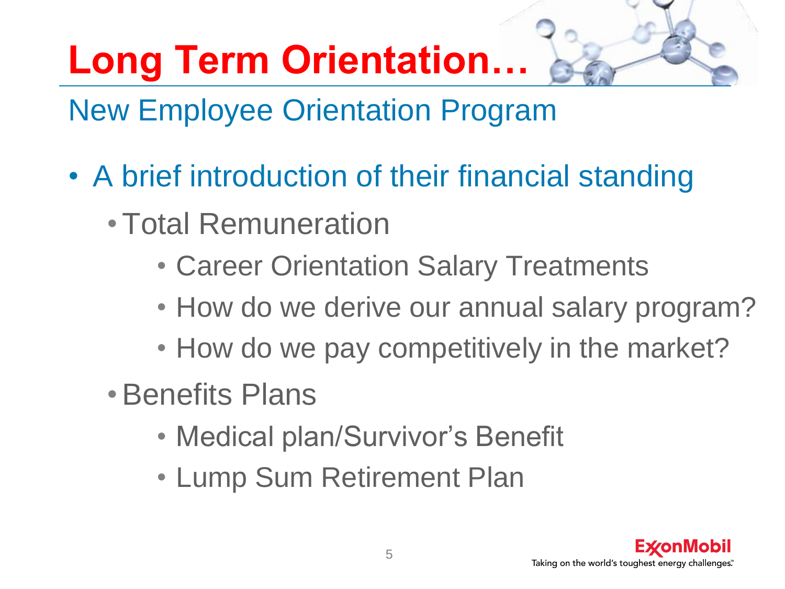# **Long Term Orientation…**

### New Employee Orientation Program

- A brief introduction of their financial standing
	- •Total Remuneration
		- Career Orientation Salary Treatments
		- How do we derive our annual salary program?
		- How do we pay competitively in the market?
	- •Benefits Plans
		- Medical plan/Survivor's Benefit
		- Lump Sum Retirement Plan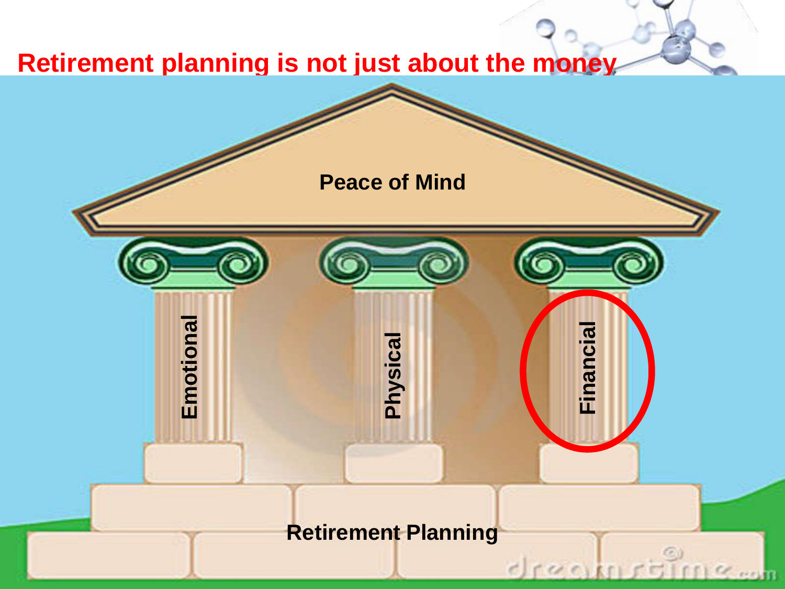#### **Retirement planning is not just about the money**

**Peace of Mind**

**Retirement Planning**

Comm

**Emotional**<br>Physical Physical Financial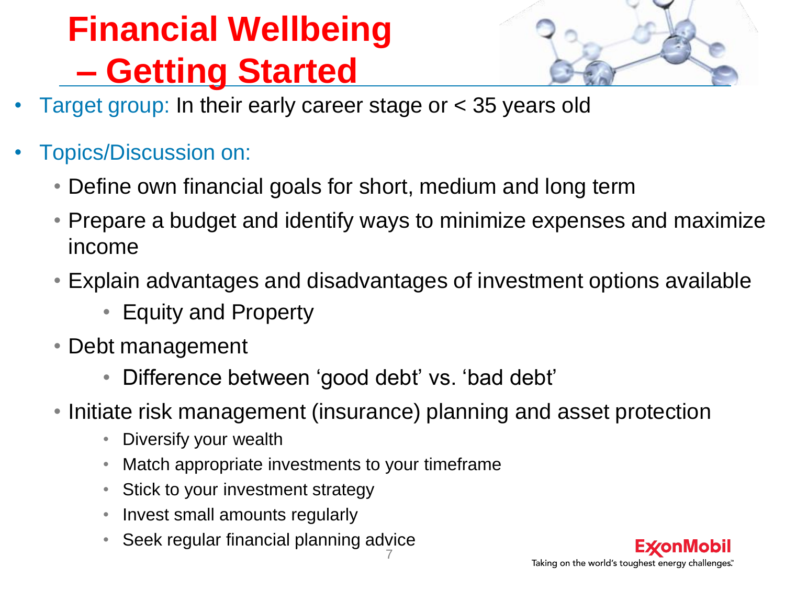# **Financial Wellbeing – Getting Started**



- Target group: In their early career stage or < 35 years old
- Topics/Discussion on:
	- Define own financial goals for short, medium and long term
	- Prepare a budget and identify ways to minimize expenses and maximize income
	- Explain advantages and disadvantages of investment options available
		- Equity and Property
	- Debt management
		- Difference between 'good debt' vs. 'bad debt'
	- Initiate risk management (insurance) planning and asset protection
		- Diversify your wealth
		- Match appropriate investments to your timeframe
		- Stick to your investment strategy
		- Invest small amounts regularly
		- 7 • Seek regular financial planning advice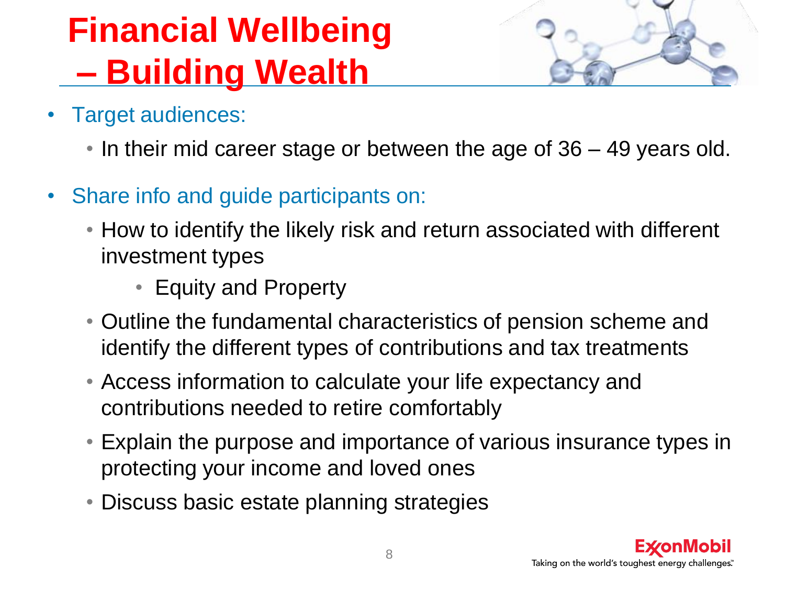## **Financial Wellbeing – Building Wealth**

- Target audiences:
	- In their mid career stage or between the age of 36 49 years old.
- Share info and guide participants on:
	- How to identify the likely risk and return associated with different investment types
		- Equity and Property
	- Outline the fundamental characteristics of pension scheme and identify the different types of contributions and tax treatments
	- Access information to calculate your life expectancy and contributions needed to retire comfortably
	- Explain the purpose and importance of various insurance types in protecting your income and loved ones
	- Discuss basic estate planning strategies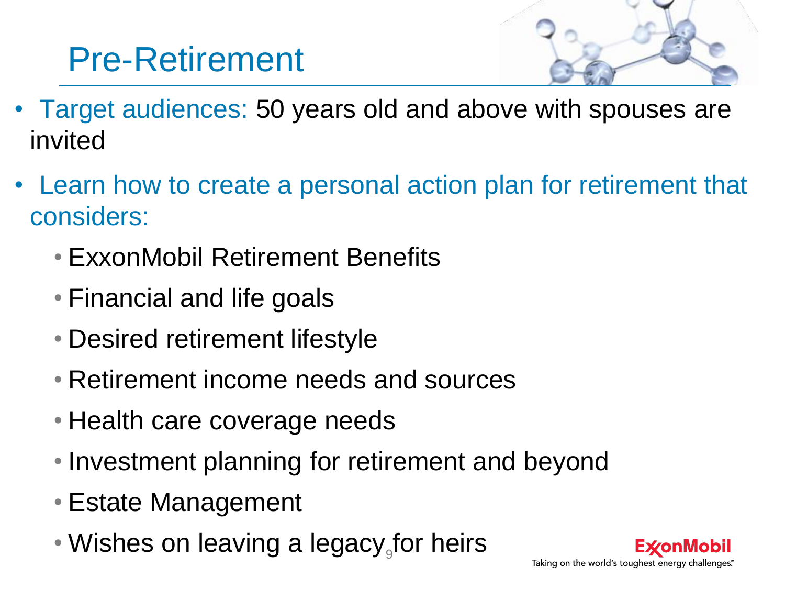### Pre-Retirement

- 
- Target audiences: 50 years old and above with spouses are invited
- Learn how to create a personal action plan for retirement that considers:
	- ExxonMobil Retirement Benefits
	- Financial and life goals
	- Desired retirement lifestyle
	- Retirement income needs and sources
	- Health care coverage needs
	- Investment planning for retirement and beyond
	- Estate Management
	- Wishes on leaving a legacy<sub>9</sub>for heirs

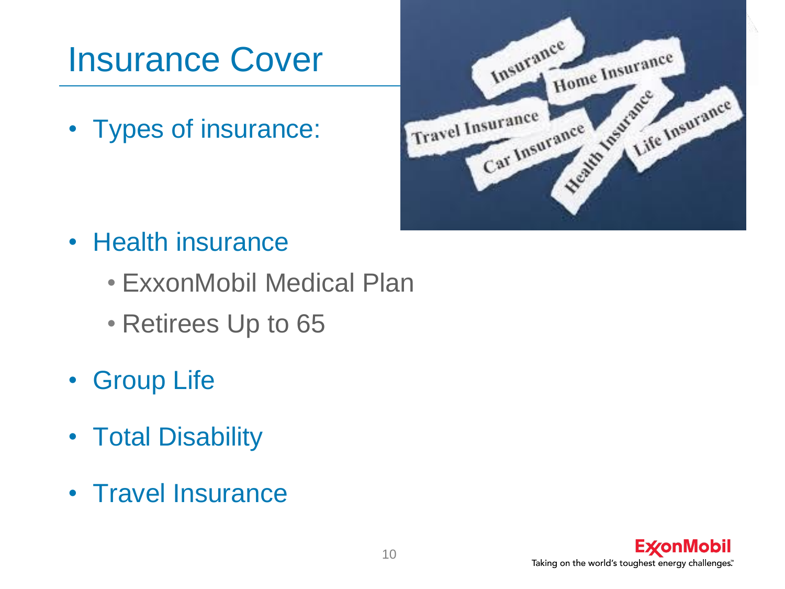### Insurance Cover

• Types of insurance:



- Health insurance
	- ExxonMobil Medical Plan
	- Retirees Up to 65
- Group Life
- Total Disability
- Travel Insurance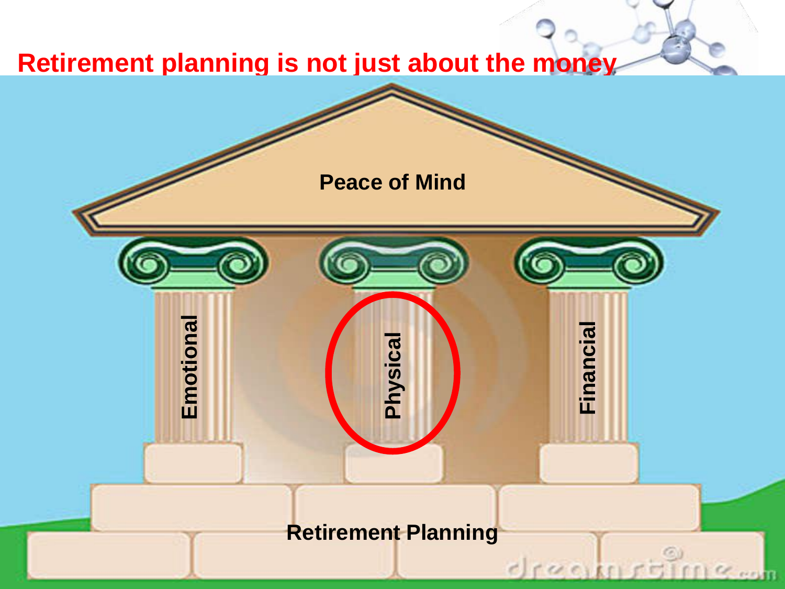#### **Retirement planning is not just about the money**

**Retirement Planning**

**Emotional**<br>Physical<br>Financial

**Peace of Mind**

11

Comm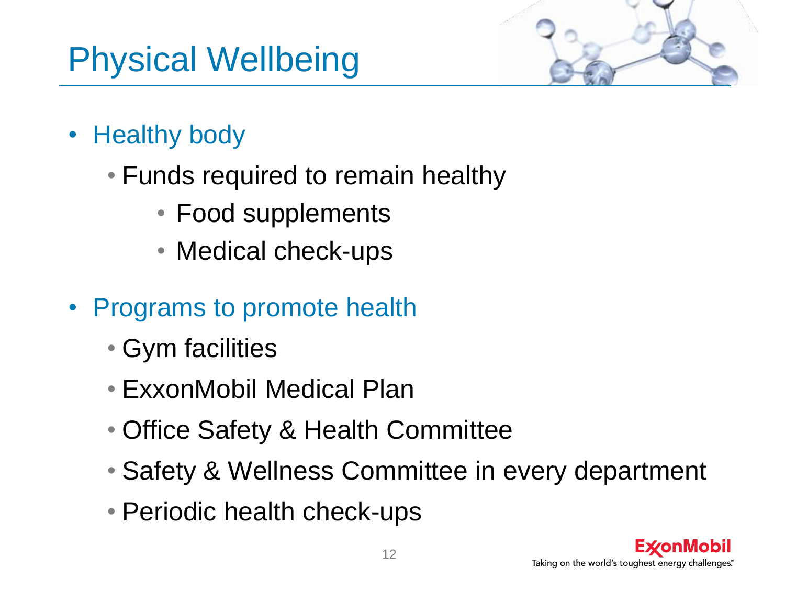### Physical Wellbeing



- Healthy body
	- Funds required to remain healthy
		- Food supplements
		- Medical check-ups
- Programs to promote health
	- Gym facilities
	- ExxonMobil Medical Plan
	- Office Safety & Health Committee
	- Safety & Wellness Committee in every department
	- Periodic health check-ups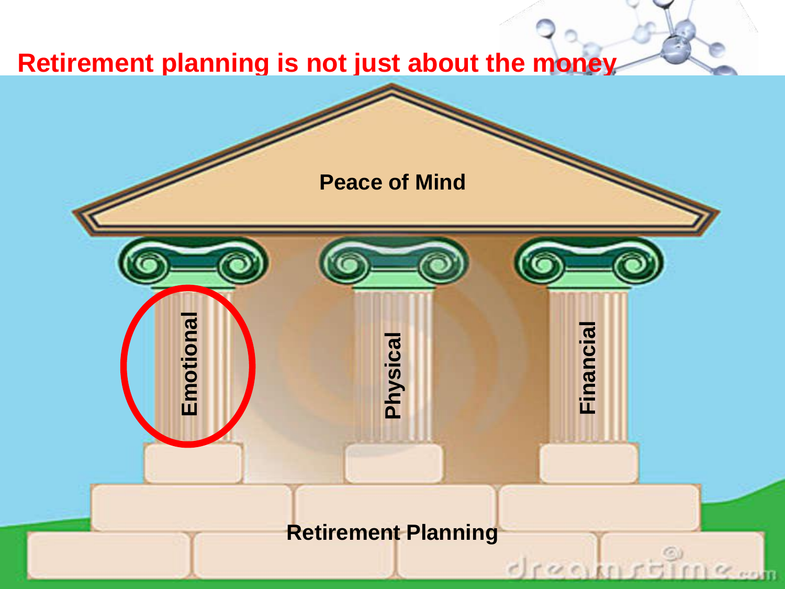#### **Retirement planning is not just about the money**

**Retirement Planning**

**Emotional Physical Financial**

**Peace of Mind**

13

Comm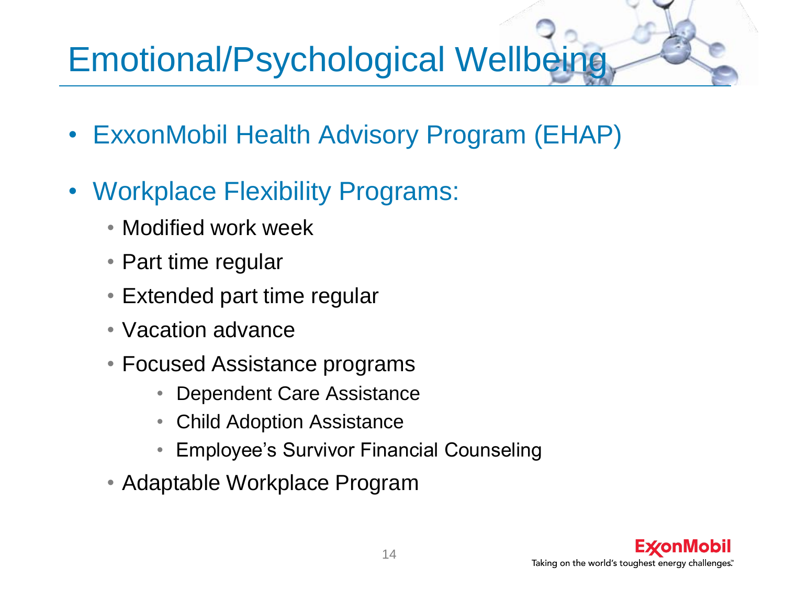### Emotional/Psychological Wellbeing

- ExxonMobil Health Advisory Program (EHAP)
- Workplace Flexibility Programs:
	- Modified work week
	- Part time regular
	- Extended part time regular
	- Vacation advance
	- Focused Assistance programs
		- Dependent Care Assistance
		- Child Adoption Assistance
		- Employee's Survivor Financial Counseling
	- Adaptable Workplace Program